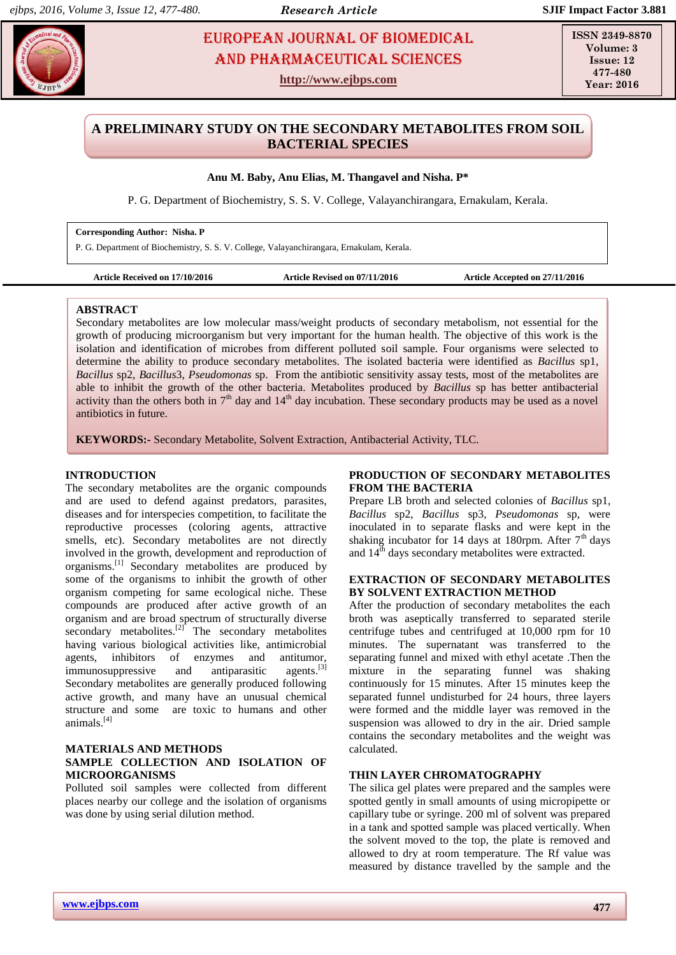# **EUROPEAN JOURNAL OF BIOMEDICAL AND SCIENCES** AND Pharmaceutical sciences

**http://www.ejbps.com**

**ISSN 2349-8870 Volume: 3 Issue: 12 477-480 Year: 2016**

# **A PRELIMINARY STUDY ON THE SECONDARY METABOLITES FROM SOIL BACTERIAL SPECIES**

## **Anu M. Baby, Anu Elias, M. Thangavel and Nisha. P\***

P. G. Department of Biochemistry, S. S. V. College, Valayanchirangara, Ernakulam, Kerala.

#### **Corresponding Author: Nisha. P**

P. G. Department of Biochemistry, S. S. V. College, Valayanchirangara, Ernakulam, Kerala.

| <b>Article Received on 17/10/2016</b> |  |
|---------------------------------------|--|
|---------------------------------------|--|

Article Revised on 07/11/2016 Article Accepted on 27/11/2016

#### **ABSTRACT**

Secondary metabolites are low molecular mass/weight products of secondary metabolism, not essential for the growth of producing microorganism but very important for the human health. The objective of this work is the isolation and identification of microbes from different polluted soil sample. Four organisms were selected to determine the ability to produce secondary metabolites. The isolated bacteria were identified as *Bacillus* sp1, *Bacillus* sp2, *Bacillus*3, *Pseudomonas* sp. From the antibiotic sensitivity assay tests, most of the metabolites are able to inhibit the growth of the other bacteria. Metabolites produced by *Bacillus* sp has better antibacterial activity than the others both in  $7<sup>th</sup>$  day and  $14<sup>th</sup>$  day incubation. These secondary products may be used as a novel antibiotics in future.

**KEYWORDS:-** Secondary Metabolite, Solvent Extraction, Antibacterial Activity, TLC.

#### **INTRODUCTION**

The secondary metabolites are the organic compounds and are used to defend against predators, parasites, diseases and for interspecies competition, to facilitate the reproductive processes (coloring agents, attractive smells, etc). Secondary metabolites are not directly involved in the growth, development and reproduction of organisms. [1] Secondary metabolites are produced by some of the organisms to inhibit the growth of other organism competing for same ecological niche. These compounds are produced after active growth of an organism and are broad spectrum of structurally diverse secondary metabolites. $[2]$  The secondary metabolites having various biological activities like, antimicrobial agents, inhibitors of enzymes and antitumor, immunosuppressive and antiparasitic agents.<sup>[3]</sup> Secondary metabolites are generally produced following active growth, and many have an unusual chemical structure and some are toxic to humans and other animals.[4]

### **MATERIALS AND METHODS SAMPLE COLLECTION AND ISOLATION OF MICROORGANISMS**

Polluted soil samples were collected from different places nearby our college and the isolation of organisms was done by using serial dilution method.

## **PRODUCTION OF SECONDARY METABOLITES FROM THE BACTERIA**

Prepare LB broth and selected colonies of *Bacillus* sp1, *Bacillus* sp2, *Bacillus* sp3*, Pseudomonas* sp, were inoculated in to separate flasks and were kept in the shaking incubator for 14 days at 180rpm. After  $7<sup>th</sup>$  days and  $14^{th}$  days secondary metabolites were extracted.

## **EXTRACTION OF SECONDARY METABOLITES BY SOLVENT EXTRACTION METHOD**

After the production of secondary metabolites the each broth was aseptically transferred to separated sterile centrifuge tubes and centrifuged at 10,000 rpm for 10 minutes. The supernatant was transferred to the separating funnel and mixed with ethyl acetate .Then the mixture in the separating funnel was shaking continuously for 15 minutes. After 15 minutes keep the separated funnel undisturbed for 24 hours, three layers were formed and the middle layer was removed in the suspension was allowed to dry in the air. Dried sample contains the secondary metabolites and the weight was calculated.

## **THIN LAYER CHROMATOGRAPHY**

The silica gel plates were prepared and the samples were spotted gently in small amounts of using micropipette or capillary tube or syringe. 200 ml of solvent was prepared in a tank and spotted sample was placed vertically. When the solvent moved to the top, the plate is removed and allowed to dry at room temperature. The Rf value was measured by distance travelled by the sample and the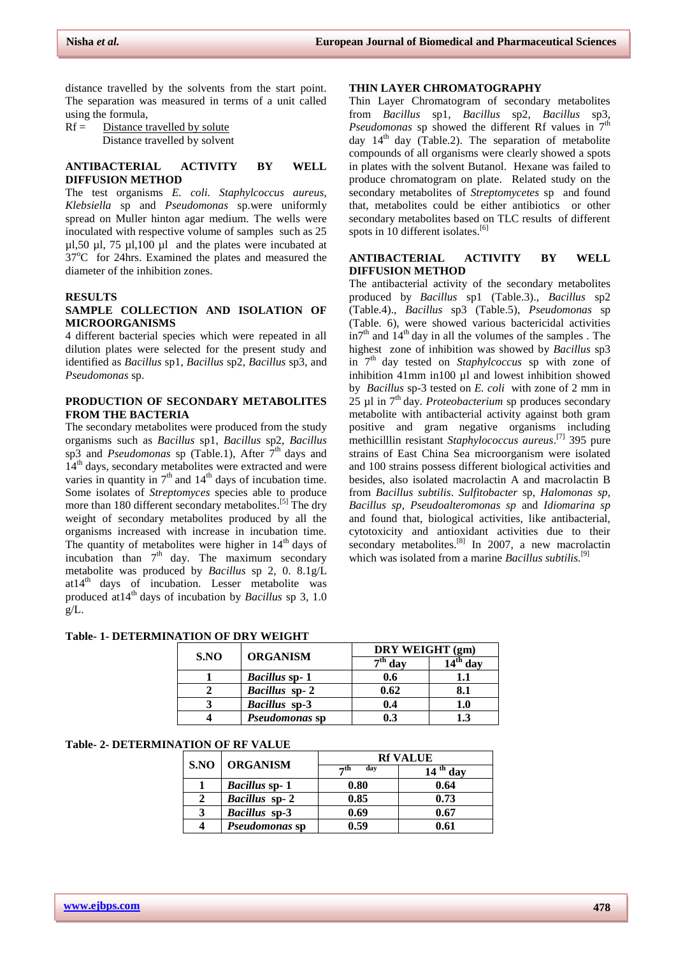distance travelled by the solvents from the start point. The separation was measured in terms of a unit called using the formula,

 $Rf =$  Distance travelled by solute Distance travelled by solvent

## **ANTIBACTERIAL ACTIVITY BY WELL DIFFUSION METHOD**

The test organisms *E. coli. Staphylcoccus aureus, Klebsiella* sp and *Pseudomonas* sp.were uniformly spread on Muller hinton agar medium. The wells were inoculated with respective volume of samples such as 25  $\mu$ 1,50  $\mu$ 1,75  $\mu$ 1,100  $\mu$ 1 and the plates were incubated at  $37^{\circ}$ C for 24hrs. Examined the plates and measured the diameter of the inhibition zones.

#### **RESULTS**

## **SAMPLE COLLECTION AND ISOLATION OF MICROORGANISMS**

4 different bacterial species which were repeated in all dilution plates were selected for the present study and identified as *Bacillus* sp1, *Bacillus* sp2, *Bacillus* sp3, and *Pseudomonas* sp.

## **PRODUCTION OF SECONDARY METABOLITES FROM THE BACTERIA**

The secondary metabolites were produced from the study organisms such as *Bacillus* sp1, *Bacillus* sp2, *Bacillus*  sp3 and *Pseudomonas* sp (Table.1), After  $7<sup>th</sup>$  days and 14<sup>th</sup> days, secondary metabolites were extracted and were varies in quantity in  $7<sup>th</sup>$  and  $14<sup>th</sup>$  days of incubation time. Some isolates of *Streptomyces* species able to produce more than 180 different secondary metabolites.<sup>[5]</sup> The dry weight of secondary metabolites produced by all the organisms increased with increase in incubation time. The quantity of metabolites were higher in  $14<sup>th</sup>$  days of incubation than  $7<sup>th</sup>$  day. The maximum secondary metabolite was produced by *Bacillus* sp 2, 0. 8.1g/L  $at14<sup>th</sup>$  days of incubation. Lesser metabolite was produced at14th days of incubation by *Bacillus* sp 3, 1.0  $g/L$ .

#### **THIN LAYER CHROMATOGRAPHY**

Thin Layer Chromatogram of secondary metabolites from *Bacillus* sp1, *Bacillus* sp2, *Bacillus* sp3, *Pseudomonas* sp showed the different Rf values in  $7<sup>th</sup>$ day  $14<sup>th</sup>$  day (Table.2). The separation of metabolite compounds of all organisms were clearly showed a spots in plates with the solvent Butanol. Hexane was failed to produce chromatogram on plate. Related study on the secondary metabolites of *Streptomycetes* sp and found that, metabolites could be either antibiotics or other secondary metabolites based on TLC results of different spots in 10 different isolates.<sup>[6]</sup>

#### **ANTIBACTERIAL ACTIVITY BY WELL DIFFUSION METHOD**

The antibacterial activity of the secondary metabolites produced by *Bacillus* sp1 (Table.3)., *Bacillus* sp2 (Table.4)., *Bacillus* sp3 (Table.5), *Pseudomonas* sp (Table. 6), were showed various bactericidal activities  $in7<sup>th</sup>$  and  $14<sup>th</sup>$  day in all the volumes of the samples . The highest zone of inhibition was showed by *Bacillus* sp3 in 7 th day tested on *Staphylcoccus* sp with zone of inhibition 41mm in100 µl and lowest inhibition showed by *Bacillus* sp-3 tested on *E. coli* with zone of 2 mm in 25 ul in 7<sup>th</sup> day. *Proteobacterium* sp produces secondary metabolite with antibacterial activity against both gram positive and gram negative organisms including methicilllin resistant *Staphylococcus aureus*. [7] 395 pure strains of East China Sea microorganism were isolated and 100 strains possess different biological activities and besides, also isolated macrolactin A and macrolactin B from *Bacillus subtilis*. *Sulfitobacter* sp, *Halomonas sp*, *Bacillus sp*, *Pseudoalteromonas sp* and *Idiomarina sp*  and found that, biological activities, like antibacterial, cytotoxicity and antioxidant activities due to their secondary metabolites.<sup>[8]</sup> In 2007, a new macrolactin which was isolated from a marine *Bacillus subtilis.* [9]

#### **Table- 1- DETERMINATION OF DRY WEIGHT**

| S.NO | <b>ORGANISM</b>      | DRY WEIGHT (gm)                          |                     |  |  |  |
|------|----------------------|------------------------------------------|---------------------|--|--|--|
|      |                      | $\overline{\phantom{a}}^{\text{th}}$ day | l <sup>th</sup> day |  |  |  |
|      | <b>Bacillus sp-1</b> | 0.6                                      |                     |  |  |  |
|      | Bacillus sp-2        | 0.62                                     | 8.1                 |  |  |  |
|      | <b>Bacillus</b> sp-3 | 0.4                                      | 1.0                 |  |  |  |
|      | Pseudomonas sp       | 0.3                                      | L3                  |  |  |  |

#### **Table- 2- DETERMINATION OF RF VALUE**

| S.NO | <b>ORGANISM</b>      | <b>Rf VALUE</b>  |                         |  |  |  |  |  |
|------|----------------------|------------------|-------------------------|--|--|--|--|--|
|      |                      | day<br>$\neg$ th | <sup>th</sup> day<br>14 |  |  |  |  |  |
|      | <b>Bacillus sp-1</b> | 0.80             | 0.64                    |  |  |  |  |  |
|      | Bacillus sp-2        | 0.85             | 0.73                    |  |  |  |  |  |
| 3    | <b>Bacillus</b> sp-3 | 0.69             | 0.67                    |  |  |  |  |  |
|      | Pseudomonas sp       | 0.59             | 0.61                    |  |  |  |  |  |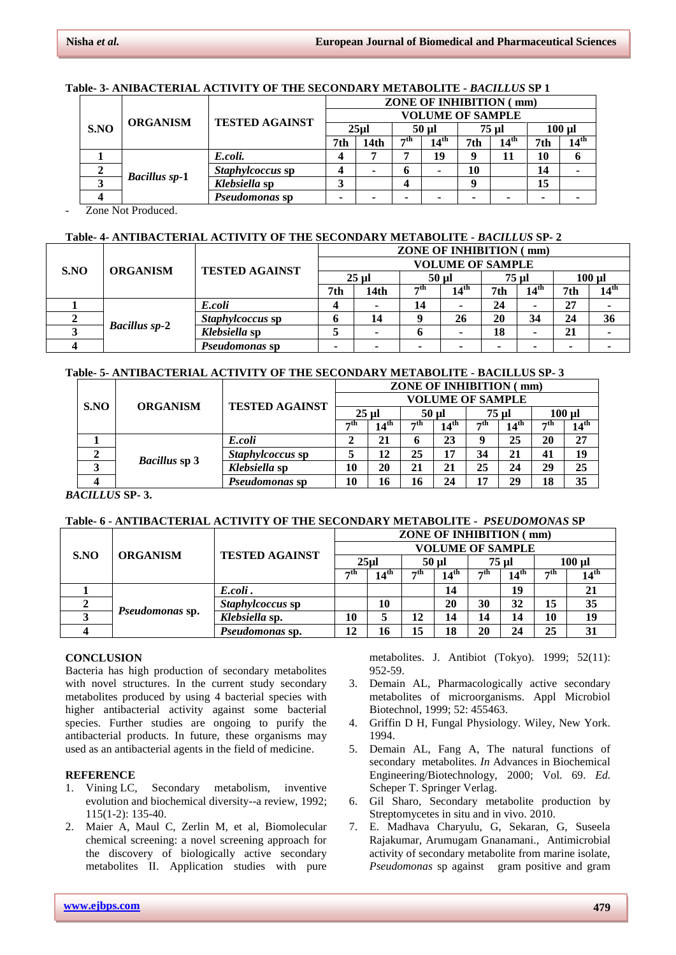## **Table- 3- ANIBACTERIAL ACTIVITY OF THE SECONDARY METABOLITE -** *BACILLUS* **SP 1**

|      | <b>ORGANISM</b>      | <b>TESTED AGAINST</b> | <b>ZONE OF INHIBITION (mm)</b> |      |                  |                  |       |                  |           |                  |  |  |
|------|----------------------|-----------------------|--------------------------------|------|------------------|------------------|-------|------------------|-----------|------------------|--|--|
| S.NO |                      |                       | <b>VOLUME OF SAMPLE</b>        |      |                  |                  |       |                  |           |                  |  |  |
|      |                      |                       | 25ul                           |      | 50 ul            |                  | 75 ul |                  | $100 \mu$ |                  |  |  |
|      |                      |                       | 7th                            | 14th | $\rightarrow$ th | $14^{\text{th}}$ | 7th   | $14^{\text{th}}$ | 7th       | $14^{\text{th}}$ |  |  |
|      | <b>Bacillus sp-1</b> | E.coli.               |                                |      |                  | 19               |       | 11               | 10        |                  |  |  |
|      |                      | Staphylcoccus sp      |                                | ۰    | n                |                  | 10    |                  | 14        |                  |  |  |
|      |                      | Klebsiella sp         |                                |      |                  |                  |       |                  | 15        |                  |  |  |
|      |                      | <i>Pseudomonas</i> sp |                                | ۰    |                  |                  |       |                  |           |                  |  |  |

Zone Not Produced.

## **Table- 4- ANTIBACTERIAL ACTIVITY OF THE SECONDARY METABOLITE -** *BACILLUS* **SP- 2**

| S.NO | <b>ORGANISM</b>      | <b>TESTED AGAINST</b> | <b>ZONE OF INHIBITION (mm)</b> |                          |         |                  |       |                  |          |                  |  |  |
|------|----------------------|-----------------------|--------------------------------|--------------------------|---------|------------------|-------|------------------|----------|------------------|--|--|
|      |                      |                       | <b>VOLUME OF SAMPLE</b>        |                          |         |                  |       |                  |          |                  |  |  |
|      |                      |                       | $25$ ul                        |                          | $50$ ul |                  | 75 ul |                  | $100$ ul |                  |  |  |
|      |                      |                       | 7th                            | 14 <sub>th</sub>         | ≂th     | $14^{\text{th}}$ | 7th   | 14 <sup>th</sup> | 7th      | $14^{\text{th}}$ |  |  |
|      | <b>Bacillus sp-2</b> | E.coli                |                                | $\blacksquare$           | 14      |                  | 24    |                  | 27       |                  |  |  |
|      |                      | Staphylcoccus sp      |                                | 14                       |         | 26               | 20    | 34               | 24       | 36               |  |  |
|      |                      | Klebsiella sp         |                                | ۰                        |         | -                | 18    |                  | 21       |                  |  |  |
|      |                      | Pseudomonas sp        | -                              | $\overline{\phantom{a}}$ |         | -                | -     |                  | -        |                  |  |  |

## **Table- 5- ANTIBACTERIAL ACTIVITY OF THE SECONDARY METABOLITE - BACILLUS SP- 3**

| <b>ORGANISM</b><br>S.NO |                       |                  | <b>ZONE OF INHIBITION (mm)</b> |                  |     |                  |                  |                  |     |                  |  |  |
|-------------------------|-----------------------|------------------|--------------------------------|------------------|-----|------------------|------------------|------------------|-----|------------------|--|--|
|                         |                       |                  | <b>VOLUME OF SAMPLE</b>        |                  |     |                  |                  |                  |     |                  |  |  |
|                         | <b>TESTED AGAINST</b> | $25$ ul          |                                | 50 ul            |     | 75 ul            |                  | $100 \mu$        |     |                  |  |  |
|                         |                       |                  | −th                            | $14^{\text{th}}$ | ≂th | $14^{\text{th}}$ | $\rightarrow$ th | 14 <sup>th</sup> | ⊿th | $14^{\text{th}}$ |  |  |
|                         |                       | E.coli           |                                | 21               | 6   | 23               | 9                | 25               | 20  | 27               |  |  |
| 2                       | <b>Bacillus sp 3</b>  | Staphylcoccus sp | 5                              | 12               | 25  | 17               | 34               | 21               | 41  | 19               |  |  |
| 3                       |                       | Klebsiella sp    | 10                             | 20               | 21  | 21               | 25               | 24               | 29  | 25               |  |  |
|                         |                       | Pseudomonas sp   | 10                             | 16               | 16  | 24               | 17               | 29               | 18  | 35               |  |  |

*BACILLUS* **SP- 3.**

# **Table- 6 - ANTIBACTERIAL ACTIVITY OF THE SECONDARY METABOLITE -** *PSEUDOMONAS* **SP**

| S.NO | <b>ORGANISM</b>        | <b>TESTED AGAINST</b> | <b>ZONE OF INHIBITION (mm)</b> |                  |           |                  |       |                  |           |                  |  |  |
|------|------------------------|-----------------------|--------------------------------|------------------|-----------|------------------|-------|------------------|-----------|------------------|--|--|
|      |                        |                       | <b>VOLUME OF SAMPLE</b>        |                  |           |                  |       |                  |           |                  |  |  |
|      |                        |                       | 25ul                           |                  | 50 ul     |                  | 75 ul |                  | 100 ul    |                  |  |  |
|      |                        |                       | $-th$                          | $14^{\text{th}}$ | $\neg$ th | 14 <sup>th</sup> | −th   | $14^{\text{th}}$ | $\neg$ th | $14^{\text{th}}$ |  |  |
|      | <i>Pseudomonas sp.</i> | E.coli.               |                                |                  |           | 14               |       | 19               |           | 21               |  |  |
|      |                        | Staphylcoccus sp      |                                | 10               |           | 20               | 30    | 32               | 15        | 35               |  |  |
|      |                        | Klebsiella sp.        | 10                             | 5                | 12        | 14               | 14    | 14               | 10        | 19               |  |  |
|      |                        | Pseudomonas sp.       | 12                             | 16               | 15        | 18               | 20    | 24               | 25        | 31               |  |  |

## **CONCLUSION**

Bacteria has high production of secondary metabolites with novel structures. In the current study secondary metabolites produced by using 4 bacterial species with higher antibacterial activity against some bacterial species. Further studies are ongoing to purify the antibacterial products. In future, these organisms may used as an antibacterial agents in the field of medicine.

# **REFERENCE**

- 1. Vining LC, Secondary metabolism, inventive evolution and biochemical diversity--a review, 1992; 115(1-2): 135-40.
- 2. Maier A, Maul C, Zerlin M, et al, Biomolecular chemical screening: a novel screening approach for the discovery of biologically active secondary metabolites II. Application studies with pure

metabolites. J. Antibiot (Tokyo). 1999; 52(11): 952-59.

- 3. Demain AL, Pharmacologically active secondary metabolites of microorganisms. Appl Microbiol Biotechnol, 1999; 52: 455463.
- 4. Griffin D H, Fungal Physiology. Wiley, New York. 1994.
- 5. Demain AL, Fang A, The natural functions of secondary metabolites. *In* Advances in Biochemical Engineering/Biotechnology, 2000; Vol. 69. *Ed.*  Scheper T. Springer Verlag.
- 6. Gil Sharo, Secondary metabolite production by Streptomycetes in situ and in vivo. 2010.
- 7. E. Madhava Charyulu, G, Sekaran, G, Suseela Rajakumar, Arumugam Gnanamani., Antimicrobial activity of secondary metabolite from marine isolate, *Pseudomonas* sp against gram positive and gram